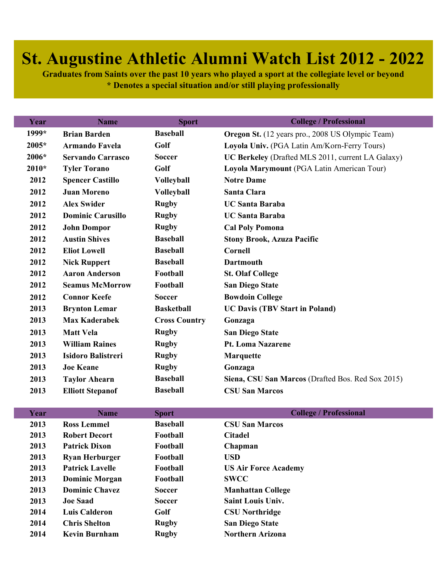## **St. Augustine Athletic Alumni Watch List 2012 - 2022**

**Graduates from Saints over the past 10 years who played a sport at the collegiate level or beyond \* Denotes a special situation and/or still playing professionally**

| <b>Name</b>               | <b>Sport</b>         | <b>College / Professional</b>                     |
|---------------------------|----------------------|---------------------------------------------------|
| <b>Brian Barden</b>       | <b>Baseball</b>      | Oregon St. (12 years pro., 2008 US Olympic Team)  |
| <b>Armando Favela</b>     | Golf                 | Loyola Univ. (PGA Latin Am/Korn-Ferry Tours)      |
| <b>Servando Carrasco</b>  | <b>Soccer</b>        | UC Berkeley (Drafted MLS 2011, current LA Galaxy) |
| <b>Tyler Torano</b>       | Golf                 | Loyola Marymount (PGA Latin American Tour)        |
| <b>Spencer Castillo</b>   | <b>Volleyball</b>    | <b>Notre Dame</b>                                 |
| <b>Juan Moreno</b>        | <b>Volleyball</b>    | Santa Clara                                       |
| <b>Alex Swider</b>        | <b>Rugby</b>         | <b>UC Santa Baraba</b>                            |
| <b>Dominic Carusillo</b>  | <b>Rugby</b>         | <b>UC Santa Baraba</b>                            |
| <b>John Dompor</b>        | <b>Rugby</b>         | <b>Cal Poly Pomona</b>                            |
| <b>Austin Shives</b>      | <b>Baseball</b>      | <b>Stony Brook, Azuza Pacific</b>                 |
| <b>Eliot Lowell</b>       | <b>Baseball</b>      | Cornell                                           |
| <b>Nick Ruppert</b>       | <b>Baseball</b>      | <b>Dartmouth</b>                                  |
| <b>Aaron Anderson</b>     | Football             | <b>St. Olaf College</b>                           |
| <b>Seamus McMorrow</b>    | Football             | <b>San Diego State</b>                            |
| <b>Connor Keefe</b>       | <b>Soccer</b>        | <b>Bowdoin College</b>                            |
| <b>Brynton Lemar</b>      | <b>Basketball</b>    | <b>UC Davis (TBV Start in Poland)</b>             |
| <b>Max Kaderabek</b>      | <b>Cross Country</b> | Gonzaga                                           |
| <b>Matt Vela</b>          | <b>Rugby</b>         | <b>San Diego State</b>                            |
| <b>William Raines</b>     | <b>Rugby</b>         | Pt. Loma Nazarene                                 |
| <b>Isidoro Balistreri</b> | <b>Rugby</b>         | <b>Marquette</b>                                  |
| <b>Joe Keane</b>          | <b>Rugby</b>         | Gonzaga                                           |
| <b>Taylor Ahearn</b>      | <b>Baseball</b>      | Siena, CSU San Marcos (Drafted Bos. Red Sox 2015) |
| <b>Elliott Stepanof</b>   | <b>Baseball</b>      | <b>CSU San Marcos</b>                             |
|                           |                      |                                                   |

| Year | <b>Name</b>            | <b>Sport</b>    | <b>College / Professional</b> |
|------|------------------------|-----------------|-------------------------------|
| 2013 | <b>Ross Lemmel</b>     | <b>Baseball</b> | <b>CSU San Marcos</b>         |
| 2013 | <b>Robert Decort</b>   | Football        | <b>Citadel</b>                |
| 2013 | <b>Patrick Dixon</b>   | Football        | Chapman                       |
| 2013 | <b>Ryan Herburger</b>  | Football        | <b>USD</b>                    |
| 2013 | <b>Patrick Lavelle</b> | Football        | <b>US Air Force Academy</b>   |
| 2013 | <b>Dominic Morgan</b>  | Football        | <b>SWCC</b>                   |
| 2013 | <b>Dominic Chavez</b>  | <b>Soccer</b>   | <b>Manhattan College</b>      |
| 2013 | <b>Joe Saad</b>        | <b>Soccer</b>   | <b>Saint Louis Univ.</b>      |
| 2014 | <b>Luis Calderon</b>   | Golf            | <b>CSU Northridge</b>         |
| 2014 | <b>Chris Shelton</b>   | <b>Rugby</b>    | <b>San Diego State</b>        |
| 2014 | Kevin Burnham          | <b>Rugby</b>    | <b>Northern Arizona</b>       |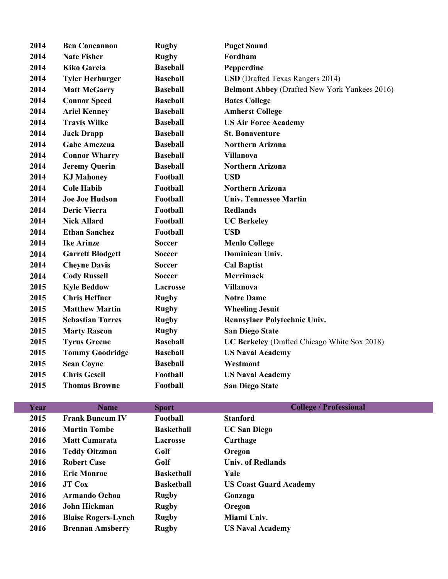| 2014 | <b>Ben Concannon</b>    | <b>Rugby</b>    | <b>Puget Sound</b>                                   |  |
|------|-------------------------|-----------------|------------------------------------------------------|--|
| 2014 | <b>Nate Fisher</b>      | <b>Rugby</b>    | Fordham                                              |  |
| 2014 | <b>Kiko Garcia</b>      | <b>Baseball</b> | Pepperdine                                           |  |
| 2014 | <b>Tyler Herburger</b>  | <b>Baseball</b> | <b>USD</b> (Drafted Texas Rangers 2014)              |  |
| 2014 | <b>Matt McGarry</b>     | <b>Baseball</b> | <b>Belmont Abbey (Drafted New York Yankees 2016)</b> |  |
| 2014 | <b>Connor Speed</b>     | <b>Baseball</b> | <b>Bates College</b>                                 |  |
| 2014 | <b>Ariel Kenney</b>     | <b>Baseball</b> | <b>Amherst College</b>                               |  |
| 2014 | <b>Travis Wilke</b>     | <b>Baseball</b> | <b>US Air Force Academy</b>                          |  |
| 2014 | <b>Jack Drapp</b>       | <b>Baseball</b> | <b>St. Bonaventure</b>                               |  |
| 2014 | <b>Gabe Amezcua</b>     | <b>Baseball</b> | <b>Northern Arizona</b>                              |  |
| 2014 | <b>Connor Wharry</b>    | <b>Baseball</b> | <b>Villanova</b>                                     |  |
| 2014 | <b>Jeremy Querin</b>    | <b>Baseball</b> | <b>Northern Arizona</b>                              |  |
| 2014 | <b>KJ Mahoney</b>       | Football        | <b>USD</b>                                           |  |
| 2014 | <b>Cole Habib</b>       | Football        | <b>Northern Arizona</b>                              |  |
| 2014 | <b>Joe Joe Hudson</b>   | Football        | <b>Univ. Tennessee Martin</b>                        |  |
| 2014 | <b>Deric Vierra</b>     | Football        | <b>Redlands</b>                                      |  |
| 2014 | <b>Nick Allard</b>      | Football        | <b>UC Berkeley</b>                                   |  |
| 2014 | <b>Ethan Sanchez</b>    | Football        | <b>USD</b>                                           |  |
| 2014 | <b>Ike Arinze</b>       | <b>Soccer</b>   | <b>Menlo College</b>                                 |  |
| 2014 | <b>Garrett Blodgett</b> | <b>Soccer</b>   | Dominican Univ.                                      |  |
| 2014 | <b>Cheyne Davis</b>     | <b>Soccer</b>   | <b>Cal Baptist</b>                                   |  |
| 2014 | <b>Cody Russell</b>     | <b>Soccer</b>   | <b>Merrimack</b>                                     |  |
| 2015 | <b>Kyle Beddow</b>      | Lacrosse        | <b>Villanova</b>                                     |  |
| 2015 | <b>Chris Heffner</b>    | <b>Rugby</b>    | <b>Notre Dame</b>                                    |  |
| 2015 | <b>Matthew Martin</b>   | <b>Rugby</b>    | <b>Wheeling Jesuit</b>                               |  |
| 2015 | <b>Sebastian Torres</b> | <b>Rugby</b>    | Rennsylaer Polytechnic Univ.                         |  |
| 2015 | <b>Marty Rascon</b>     | <b>Rugby</b>    | <b>San Diego State</b>                               |  |
| 2015 | <b>Tyrus Greene</b>     | <b>Baseball</b> | <b>UC Berkeley</b> (Drafted Chicago White Sox 2018)  |  |
| 2015 | <b>Tommy Goodridge</b>  | <b>Baseball</b> | <b>US Naval Academy</b>                              |  |
| 2015 | <b>Sean Coyne</b>       | <b>Baseball</b> | Westmont                                             |  |
| 2015 | <b>Chris Gesell</b>     | Football        | <b>US Naval Academy</b>                              |  |
| 2015 | <b>Thomas Browne</b>    | Football        | <b>San Diego State</b>                               |  |

| Year | <b>Name</b>                | <b>Sport</b>      | <b>College / Professional</b> |
|------|----------------------------|-------------------|-------------------------------|
| 2015 | <b>Frank Buncum IV</b>     | Football          | <b>Stanford</b>               |
| 2016 | <b>Martin Tombe</b>        | <b>Basketball</b> | <b>UC San Diego</b>           |
| 2016 | <b>Matt Camarata</b>       | <b>Lacrosse</b>   | Carthage                      |
| 2016 | <b>Teddy Oitzman</b>       | Golf              | Oregon                        |
| 2016 | <b>Robert Case</b>         | Golf              | Univ. of Redlands             |
| 2016 | <b>Eric Monroe</b>         | <b>Basketball</b> | Yale                          |
| 2016 | <b>JT Cox</b>              | <b>Basketball</b> | <b>US Coast Guard Academy</b> |
| 2016 | <b>Armando Ochoa</b>       | <b>Rugby</b>      | Gonzaga                       |
| 2016 | John Hickman               | <b>Rugby</b>      | Oregon                        |
| 2016 | <b>Blaise Rogers-Lynch</b> | <b>Rugby</b>      | Miami Univ.                   |
| 2016 | <b>Brennan Amsberry</b>    | <b>Rugby</b>      | <b>US Naval Academy</b>       |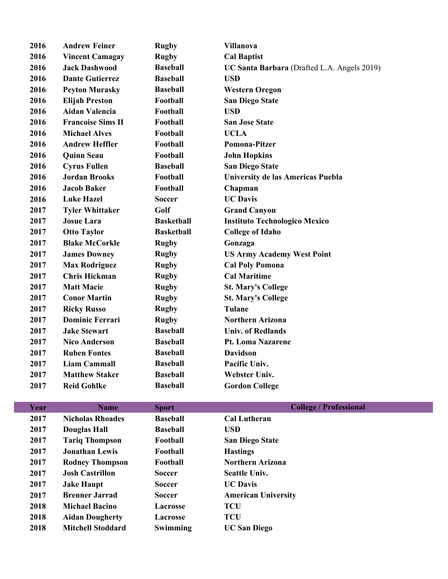| 2016 | <b>Andrew Feiner</b>     | <b>Rugby</b>      | <b>Villanova</b>                            |
|------|--------------------------|-------------------|---------------------------------------------|
| 2016 | <b>Vincent Camagay</b>   | <b>Rugby</b>      | <b>Cal Baptist</b>                          |
| 2016 | <b>Jack Dashwood</b>     | <b>Baseball</b>   | UC Santa Barbara (Drafted L.A. Angels 2019) |
| 2016 | <b>Dante Gutierrez</b>   | <b>Baseball</b>   | <b>USD</b>                                  |
| 2016 | <b>Peyton Murasky</b>    | <b>Baseball</b>   | <b>Western Oregon</b>                       |
| 2016 | <b>Elijah Preston</b>    | Football          | <b>San Diego State</b>                      |
| 2016 | <b>Aidan Valencia</b>    | Football          | <b>USD</b>                                  |
| 2016 | <b>Francoise Sims II</b> | Football          | <b>San Jose State</b>                       |
| 2016 | <b>Michael Alves</b>     | Football          | <b>UCLA</b>                                 |
| 2016 | <b>Andrew Heffler</b>    | Football          | Pomona-Pitzer                               |
| 2016 | <b>Quinn Seau</b>        | Football          | <b>John Hopkins</b>                         |
| 2016 | <b>Cyrus Fullen</b>      | <b>Baseball</b>   | <b>San Diego State</b>                      |
| 2016 | <b>Jordan Brooks</b>     | Football          | University de las Americas Puebla           |
| 2016 | <b>Jacob Baker</b>       | Football          | Chapman                                     |
| 2016 | <b>Luke Hazel</b>        | <b>Soccer</b>     | <b>UC Davis</b>                             |
| 2017 | <b>Tyler Whittaker</b>   | Golf              | <b>Grand Canyon</b>                         |
| 2017 | <b>Josue Lara</b>        | <b>Basketball</b> | <b>Instituto Technologico Mexico</b>        |
| 2017 | <b>Otto Taylor</b>       | <b>Basketball</b> | <b>College of Idaho</b>                     |
| 2017 | <b>Blake McCorkle</b>    | <b>Rugby</b>      | Gonzaga                                     |
| 2017 | <b>James Downey</b>      | <b>Rugby</b>      | <b>US Army Academy West Point</b>           |
| 2017 | <b>Max Rodriguez</b>     | <b>Rugby</b>      | <b>Cal Poly Pomona</b>                      |
| 2017 | <b>Chris Hickman</b>     | <b>Rugby</b>      | <b>Cal Maritime</b>                         |
| 2017 | <b>Matt Macie</b>        | <b>Rugby</b>      | <b>St. Mary's College</b>                   |
| 2017 | <b>Conor Martin</b>      | <b>Rugby</b>      | <b>St. Mary's College</b>                   |
| 2017 | <b>Ricky Russo</b>       | <b>Rugby</b>      | <b>Tulane</b>                               |
| 2017 | <b>Dominic Ferrari</b>   | <b>Rugby</b>      | <b>Northern Arizona</b>                     |
| 2017 | <b>Jake Stewart</b>      | <b>Baseball</b>   | <b>Univ. of Redlands</b>                    |
| 2017 | <b>Nico Anderson</b>     | <b>Baseball</b>   | <b>Pt. Loma Nazarene</b>                    |
| 2017 | <b>Ruben Fontes</b>      | <b>Baseball</b>   | <b>Davidson</b>                             |
| 2017 | <b>Liam Cammall</b>      | <b>Baseball</b>   | Pacific Univ.                               |
| 2017 | <b>Matthew Staker</b>    | <b>Baseball</b>   | <b>Webster Univ.</b>                        |
| 2017 | <b>Reid Gohlke</b>       | <b>Baseball</b>   | <b>Gordon College</b>                       |
|      |                          |                   |                                             |

| Year | <b>Name</b>              | <b>Sport</b>    | <b>College / Professional</b> |
|------|--------------------------|-----------------|-------------------------------|
| 2017 | <b>Nicholas Rhoades</b>  | <b>Baseball</b> | <b>Cal Lutheran</b>           |
| 2017 | <b>Douglas Hall</b>      | <b>Baseball</b> | <b>USD</b>                    |
| 2017 | <b>Tariq Thompson</b>    | Football        | <b>San Diego State</b>        |
| 2017 | <b>Jonathan Lewis</b>    | Football        | <b>Hastings</b>               |
| 2017 | <b>Rodney Thompson</b>   | Football        | <b>Northern Arizona</b>       |
| 2017 | <b>Josh Castrillon</b>   | <b>Soccer</b>   | <b>Seattle Univ.</b>          |
| 2017 | <b>Jake Haupt</b>        | <b>Soccer</b>   | <b>UC Davis</b>               |
| 2017 | <b>Brenner Jarrad</b>    | <b>Soccer</b>   | <b>American University</b>    |
| 2018 | <b>Michael Bacino</b>    | Lacrosse        | <b>TCU</b>                    |
| 2018 | <b>Aidan Dougherty</b>   | <b>Lacrosse</b> | <b>TCU</b>                    |
| 2018 | <b>Mitchell Stoddard</b> | Swimming        | <b>UC San Diego</b>           |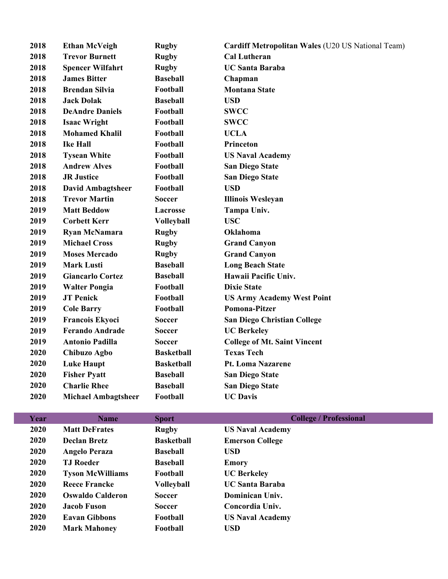| 2018 | <b>Ethan McVeigh</b>       | <b>Rugby</b>      | Cardiff Metropolitan Wales (U20 US National Team) |
|------|----------------------------|-------------------|---------------------------------------------------|
| 2018 | <b>Trevor Burnett</b>      | <b>Rugby</b>      | <b>Cal Lutheran</b>                               |
| 2018 | <b>Spencer Wilfahrt</b>    | <b>Rugby</b>      | <b>UC Santa Baraba</b>                            |
| 2018 | <b>James Bitter</b>        | <b>Baseball</b>   | Chapman                                           |
| 2018 | <b>Brendan Silvia</b>      | Football          | <b>Montana State</b>                              |
| 2018 | <b>Jack Dolak</b>          | <b>Baseball</b>   | <b>USD</b>                                        |
| 2018 | <b>DeAndre Daniels</b>     | Football          | <b>SWCC</b>                                       |
| 2018 | <b>Isaac Wright</b>        | Football          | <b>SWCC</b>                                       |
| 2018 | <b>Mohamed Khalil</b>      | Football          | <b>UCLA</b>                                       |
| 2018 | <b>Ike Hall</b>            | Football          | Princeton                                         |
| 2018 | <b>Tysean White</b>        | Football          | <b>US Naval Academy</b>                           |
| 2018 | <b>Andrew Alves</b>        | Football          | <b>San Diego State</b>                            |
| 2018 | <b>JR Justice</b>          | Football          | <b>San Diego State</b>                            |
| 2018 | <b>David Ambagtsheer</b>   | Football          | <b>USD</b>                                        |
| 2018 | <b>Trevor Martin</b>       | <b>Soccer</b>     | <b>Illinois Wesleyan</b>                          |
| 2019 | <b>Matt Beddow</b>         | Lacrosse          | Tampa Univ.                                       |
| 2019 | <b>Corbett Kerr</b>        | <b>Volleyball</b> | <b>USC</b>                                        |
| 2019 | <b>Ryan McNamara</b>       | <b>Rugby</b>      | <b>Oklahoma</b>                                   |
| 2019 | <b>Michael Cross</b>       | <b>Rugby</b>      | <b>Grand Canyon</b>                               |
| 2019 | <b>Moses Mercado</b>       | <b>Rugby</b>      | <b>Grand Canyon</b>                               |
| 2019 | <b>Mark Lusti</b>          | <b>Baseball</b>   | <b>Long Beach State</b>                           |
| 2019 | <b>Giancarlo Cortez</b>    | <b>Baseball</b>   | Hawaii Pacific Univ.                              |
| 2019 | <b>Walter Pongia</b>       | Football          | <b>Dixie State</b>                                |
| 2019 | <b>JT Penick</b>           | Football          | <b>US Army Academy West Point</b>                 |
| 2019 | <b>Cole Barry</b>          | Football          | Pomona-Pitzer                                     |
| 2019 | <b>Francois Ekyoci</b>     | <b>Soccer</b>     | <b>San Diego Christian College</b>                |
| 2019 | <b>Ferando Andrade</b>     | <b>Soccer</b>     | <b>UC Berkeley</b>                                |
| 2019 | <b>Antonio Padilla</b>     | <b>Soccer</b>     | <b>College of Mt. Saint Vincent</b>               |
| 2020 | Chibuzo Agbo               | <b>Basketball</b> | <b>Texas Tech</b>                                 |
| 2020 | <b>Luke Haupt</b>          | <b>Basketball</b> | Pt. Loma Nazarene                                 |
| 2020 | <b>Fisher Pyatt</b>        | <b>Baseball</b>   | <b>San Diego State</b>                            |
| 2020 | <b>Charlie Rhee</b>        | <b>Baseball</b>   | <b>San Diego State</b>                            |
| 2020 | <b>Michael Ambagtsheer</b> | Football          | <b>UC Davis</b>                                   |

| Year        | Name                    | <b>Sport</b>      | <b>College / Professional</b> |
|-------------|-------------------------|-------------------|-------------------------------|
| 2020        | <b>Matt DeFrates</b>    | <b>Rugby</b>      | <b>US Naval Academy</b>       |
| 2020        | <b>Declan Bretz</b>     | <b>Basketball</b> | <b>Emerson College</b>        |
| 2020        | <b>Angelo Peraza</b>    | <b>Baseball</b>   | <b>USD</b>                    |
| 2020        | <b>TJ</b> Roeder        | <b>Baseball</b>   | <b>Emory</b>                  |
| 2020        | <b>Tyson McWilliams</b> | Football          | <b>UC Berkeley</b>            |
| 2020        | <b>Reece Francke</b>    | Volleyball        | <b>UC Santa Baraba</b>        |
| <b>2020</b> | <b>Oswaldo Calderon</b> | <b>Soccer</b>     | Dominican Univ.               |
| 2020        | <b>Jacob Fuson</b>      | <b>Soccer</b>     | Concordia Univ.               |
| 2020        | <b>Eavan Gibbons</b>    | Football          | <b>US Naval Academy</b>       |
| 2020        | <b>Mark Mahoney</b>     | Football          | <b>USD</b>                    |